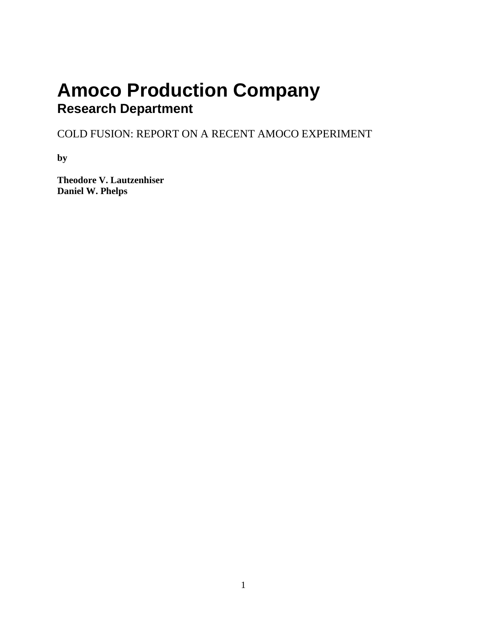# **Amoco Production Company Research Department**

COLD FUSION: REPORT ON A RECENT AMOCO EXPERIMENT

**by**

**Theodore V. Lautzenhiser Daniel W. Phelps**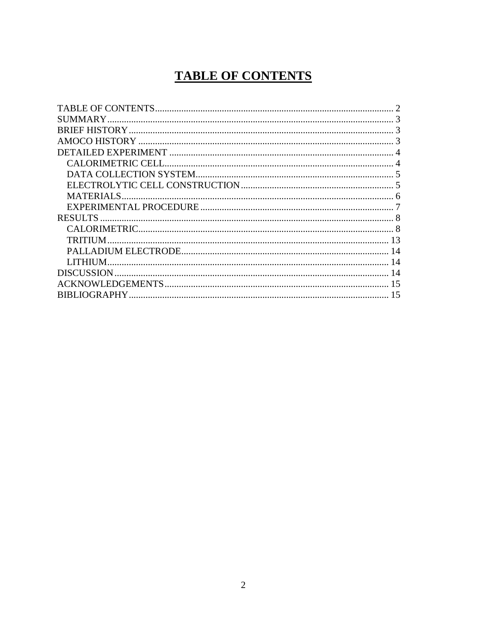# **TABLE OF CONTENTS**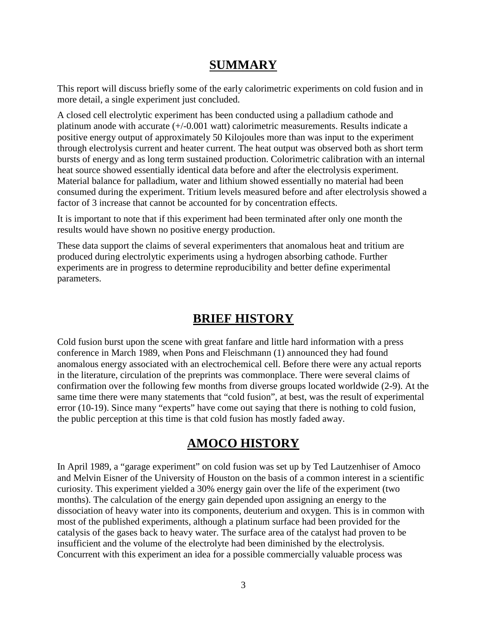### **SUMMARY**

This report will discuss briefly some of the early calorimetric experiments on cold fusion and in more detail, a single experiment just concluded.

A closed cell electrolytic experiment has been conducted using a palladium cathode and platinum anode with accurate (+/-0.001 watt) calorimetric measurements. Results indicate a positive energy output of approximately 50 Kilojoules more than was input to the experiment through electrolysis current and heater current. The heat output was observed both as short term bursts of energy and as long term sustained production. Colorimetric calibration with an internal heat source showed essentially identical data before and after the electrolysis experiment. Material balance for palladium, water and lithium showed essentially no material had been consumed during the experiment. Tritium levels measured before and after electrolysis showed a factor of 3 increase that cannot be accounted for by concentration effects.

It is important to note that if this experiment had been terminated after only one month the results would have shown no positive energy production.

These data support the claims of several experimenters that anomalous heat and tritium are produced during electrolytic experiments using a hydrogen absorbing cathode. Further experiments are in progress to determine reproducibility and better define experimental parameters.

### **BRIEF HISTORY**

Cold fusion burst upon the scene with great fanfare and little hard information with a press conference in March 1989, when Pons and Fleischmann (1) announced they had found anomalous energy associated with an electrochemical cell. Before there were any actual reports in the literature, circulation of the preprints was commonplace. There were several claims of confirmation over the following few months from diverse groups located worldwide (2-9). At the same time there were many statements that "cold fusion", at best, was the result of experimental error (10-19). Since many "experts" have come out saying that there is nothing to cold fusion, the public perception at this time is that cold fusion has mostly faded away.

### **AMOCO HISTORY**

In April 1989, a "garage experiment" on cold fusion was set up by Ted Lautzenhiser of Amoco and Melvin Eisner of the University of Houston on the basis of a common interest in a scientific curiosity. This experiment yielded a 30% energy gain over the life of the experiment (two months). The calculation of the energy gain depended upon assigning an energy to the dissociation of heavy water into its components, deuterium and oxygen. This is in common with most of the published experiments, although a platinum surface had been provided for the catalysis of the gases back to heavy water. The surface area of the catalyst had proven to be insufficient and the volume of the electrolyte had been diminished by the electrolysis. Concurrent with this experiment an idea for a possible commercially valuable process was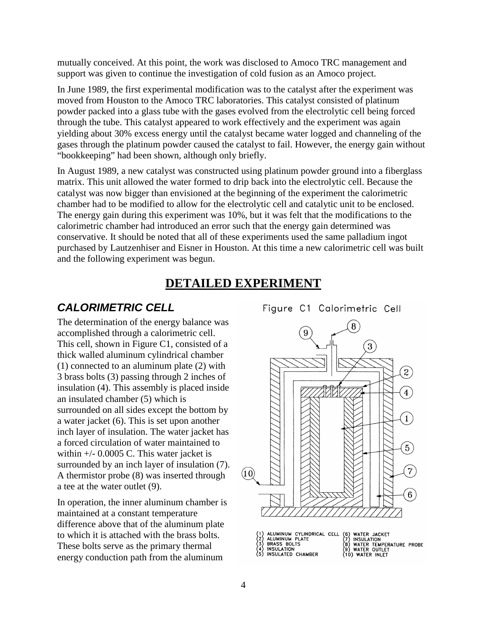mutually conceived. At this point, the work was disclosed to Amoco TRC management and support was given to continue the investigation of cold fusion as an Amoco project.

In June 1989, the first experimental modification was to the catalyst after the experiment was moved from Houston to the Amoco TRC laboratories. This catalyst consisted of platinum powder packed into a glass tube with the gases evolved from the electrolytic cell being forced through the tube. This catalyst appeared to work effectively and the experiment was again yielding about 30% excess energy until the catalyst became water logged and channeling of the gases through the platinum powder caused the catalyst to fail. However, the energy gain without "bookkeeping" had been shown, although only briefly.

In August 1989, a new catalyst was constructed using platinum powder ground into a fiberglass matrix. This unit allowed the water formed to drip back into the electrolytic cell. Because the catalyst was now bigger than envisioned at the beginning of the experiment the calorimetric chamber had to be modified to allow for the electrolytic cell and catalytic unit to be enclosed. The energy gain during this experiment was 10%, but it was felt that the modifications to the calorimetric chamber had introduced an error such that the energy gain determined was conservative. It should be noted that all of these experiments used the same palladium ingot purchased by Lautzenhiser and Eisner in Houston. At this time a new calorimetric cell was built and the following experiment was begun.

#### **DETAILED EXPERIMENT**

#### *CALORIMETRIC CELL*

The determination of the energy balance was accomplished through a calorimetric cell. This cell, shown in Figure C1, consisted of a thick walled aluminum cylindrical chamber (1) connected to an aluminum plate (2) with 3 brass bolts (3) passing through 2 inches of insulation (4). This assembly is placed inside an insulated chamber (5) which is surrounded on all sides except the bottom by a water jacket (6). This is set upon another inch layer of insulation. The water jacket has a forced circulation of water maintained to within +/- 0.0005 C. This water jacket is surrounded by an inch layer of insulation (7).<br>A thermistor probe  $(8)$  was inserted through  $(10)$ A thermistor probe (8) was inserted through a tee at the water outlet (9).

In operation, the inner aluminum chamber is maintained at a constant temperature difference above that of the aluminum plate to which it is attached with the brass bolts. These bolts serve as the primary thermal energy conduction path from the aluminum

Figure C1 Calorimetric Cell

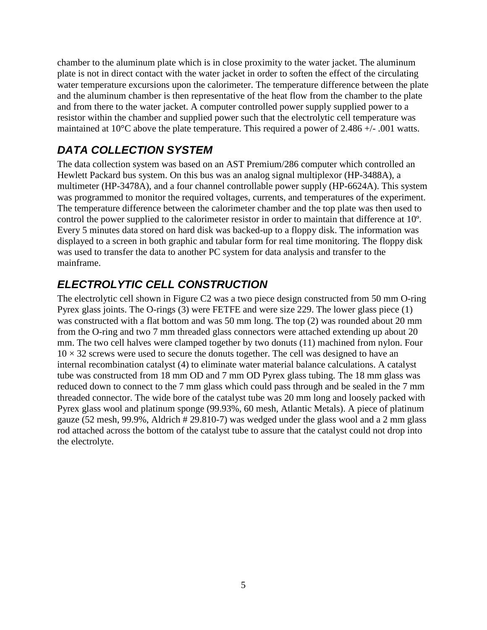chamber to the aluminum plate which is in close proximity to the water jacket. The aluminum plate is not in direct contact with the water jacket in order to soften the effect of the circulating water temperature excursions upon the calorimeter. The temperature difference between the plate and the aluminum chamber is then representative of the heat flow from the chamber to the plate and from there to the water jacket. A computer controlled power supply supplied power to a resistor within the chamber and supplied power such that the electrolytic cell temperature was maintained at 10°C above the plate temperature. This required a power of 2.486 +/- .001 watts.

# *DATA COLLECTION SYSTEM*

The data collection system was based on an AST Premium/286 computer which controlled an Hewlett Packard bus system. On this bus was an analog signal multiplexor (HP-3488A), a multimeter (HP-3478A), and a four channel controllable power supply (HP-6624A). This system was programmed to monitor the required voltages, currents, and temperatures of the experiment. The temperature difference between the calorimeter chamber and the top plate was then used to control the power supplied to the calorimeter resistor in order to maintain that difference at 10º. Every 5 minutes data stored on hard disk was backed-up to a floppy disk. The information was displayed to a screen in both graphic and tabular form for real time monitoring. The floppy disk was used to transfer the data to another PC system for data analysis and transfer to the mainframe.

# *ELECTROLYTIC CELL CONSTRUCTION*

The electrolytic cell shown in Figure C2 was a two piece design constructed from 50 mm O-ring Pyrex glass joints. The O-rings (3) were FETFE and were size 229. The lower glass piece (1) was constructed with a flat bottom and was 50 mm long. The top (2) was rounded about 20 mm from the O-ring and two 7 mm threaded glass connectors were attached extending up about 20 mm. The two cell halves were clamped together by two donuts (11) machined from nylon. Four  $10 \times 32$  screws were used to secure the donuts together. The cell was designed to have an internal recombination catalyst (4) to eliminate water material balance calculations. A catalyst tube was constructed from 18 mm OD and 7 mm OD Pyrex glass tubing. The 18 mm glass was reduced down to connect to the 7 mm glass which could pass through and be sealed in the 7 mm threaded connector. The wide bore of the catalyst tube was 20 mm long and loosely packed with Pyrex glass wool and platinum sponge (99.93%, 60 mesh, Atlantic Metals). A piece of platinum gauze (52 mesh, 99.9%, Aldrich # 29.810-7) was wedged under the glass wool and a 2 mm glass rod attached across the bottom of the catalyst tube to assure that the catalyst could not drop into the electrolyte.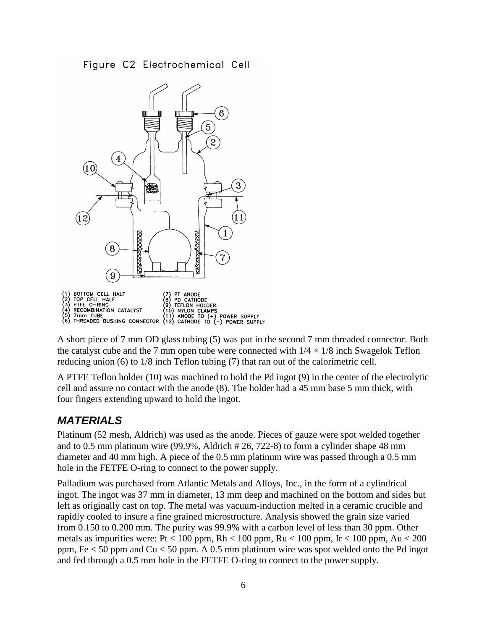Figure C2 Electrochemical Cell



A short piece of 7 mm OD glass tubing (5) was put in the second 7 mm threaded connector. Both the catalyst cube and the 7 mm open tube were connected with  $1/4 \times 1/8$  inch Swagelok Teflon reducing union (6) to 1/8 inch Teflon tubing (7) that ran out of the calorimetric cell.

A PTFE Teflon holder (10) was machined to hold the Pd ingot (9) in the center of the electrolytic cell and assure no contact with the anode (8). The holder had a 45 mm base 5 mm thick, with four fingers extending upward to hold the ingot.

### *MATERIALS*

Platinum (52 mesh, Aldrich) was used as the anode. Pieces of gauze were spot welded together and to 0.5 mm platinum wire (99.9%, Aldrich # 26, 722-8) to form a cylinder shape 48 mm diameter and 40 mm high. A piece of the 0.5 mm platinum wire was passed through a 0.5 mm hole in the FETFE O-ring to connect to the power supply.

Palladium was purchased from Atlantic Metals and Alloys, Inc., in the form of a cylindrical ingot. The ingot was 37 mm in diameter, 13 mm deep and machined on the bottom and sides but left as originally cast on top. The metal was vacuum-induction melted in a ceramic crucible and rapidly cooled to insure a fine grained microstructure. Analysis showed the grain size varied from 0.150 to 0.200 mm. The purity was 99.9% with a carbon level of less than 30 ppm. Other metals as impurities were: Pt < 100 ppm, Rh < 100 ppm, Ru < 100 ppm, Ir < 100 ppm, Au < 200 ppm, Fe < 50 ppm and Cu < 50 ppm. A 0.5 mm platinum wire was spot welded onto the Pd ingot and fed through a 0.5 mm hole in the FETFE O-ring to connect to the power supply.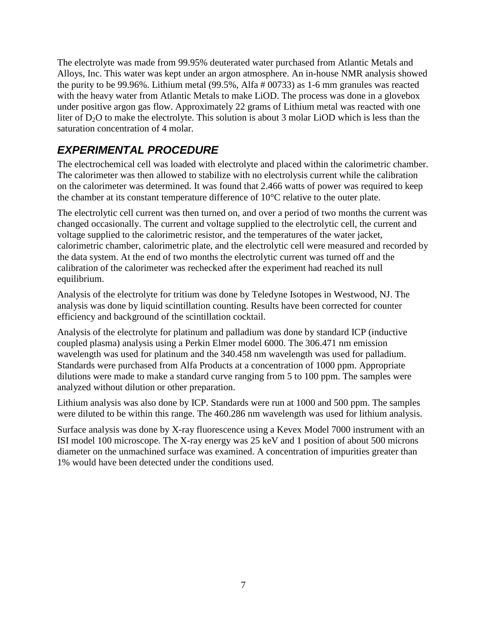The electrolyte was made from 99.95% deuterated water purchased from Atlantic Metals and Alloys, Inc. This water was kept under an argon atmosphere. An in-house NMR analysis showed the purity to be 99.96%. Lithium metal (99.5%, Alfa # 00733) as 1-6 mm granules was reacted with the heavy water from Atlantic Metals to make LiOD. The process was done in a glovebox under positive argon gas flow. Approximately 22 grams of Lithium metal was reacted with one liter of  $D_2O$  to make the electrolyte. This solution is about 3 molar LiOD which is less than the saturation concentration of 4 molar.

# *EXPERIMENTAL PROCEDURE*

The electrochemical cell was loaded with electrolyte and placed within the calorimetric chamber. The calorimeter was then allowed to stabilize with no electrolysis current while the calibration on the calorimeter was determined. It was found that 2.466 watts of power was required to keep the chamber at its constant temperature difference of 10°C relative to the outer plate.

The electrolytic cell current was then turned on, and over a period of two months the current was changed occasionally. The current and voltage supplied to the electrolytic cell, the current and voltage supplied to the calorimetric resistor, and the temperatures of the water jacket, calorimetric chamber, calorimetric plate, and the electrolytic cell were measured and recorded by the data system. At the end of two months the electrolytic current was turned off and the calibration of the calorimeter was rechecked after the experiment had reached its null equilibrium.

Analysis of the electrolyte for tritium was done by Teledyne Isotopes in Westwood, NJ. The analysis was done by liquid scintillation counting. Results have been corrected for counter efficiency and background of the scintillation cocktail.

Analysis of the electrolyte for platinum and palladium was done by standard ICP (inductive coupled plasma) analysis using a Perkin Elmer model 6000. The 306.471 nm emission wavelength was used for platinum and the 340.458 nm wavelength was used for palladium. Standards were purchased from Alfa Products at a concentration of 1000 ppm. Appropriate dilutions were made to make a standard curve ranging from 5 to 100 ppm. The samples were analyzed without dilution or other preparation.

Lithium analysis was also done by ICP. Standards were run at 1000 and 500 ppm. The samples were diluted to be within this range. The 460.286 nm wavelength was used for lithium analysis.

Surface analysis was done by X-ray fluorescence using a Kevex Model 7000 instrument with an ISI model 100 microscope. The X-ray energy was 25 keV and 1 position of about 500 microns diameter on the unmachined surface was examined. A concentration of impurities greater than 1% would have been detected under the conditions used.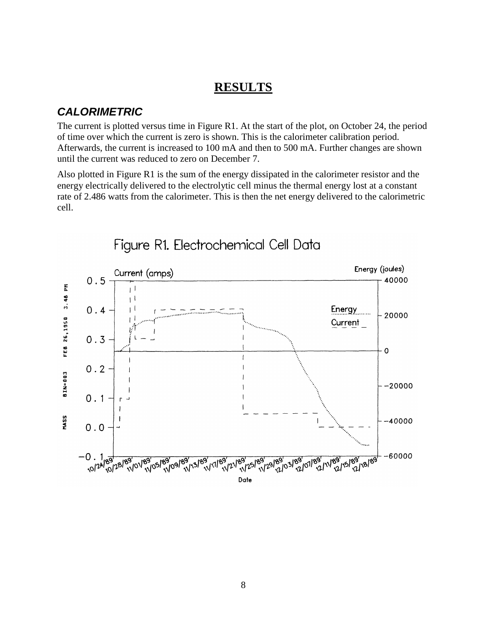#### **RESULTS**

#### *CALORIMETRIC*

The current is plotted versus time in Figure R1. At the start of the plot, on October 24, the period of time over which the current is zero is shown. This is the calorimeter calibration period. Afterwards, the current is increased to 100 mA and then to 500 mA. Further changes are shown until the current was reduced to zero on December 7.

Also plotted in Figure R1 is the sum of the energy dissipated in the calorimeter resistor and the energy electrically delivered to the electrolytic cell minus the thermal energy lost at a constant rate of 2.486 watts from the calorimeter. This is then the net energy delivered to the calorimetric cell.



Figure R1. Electrochemical Cell Data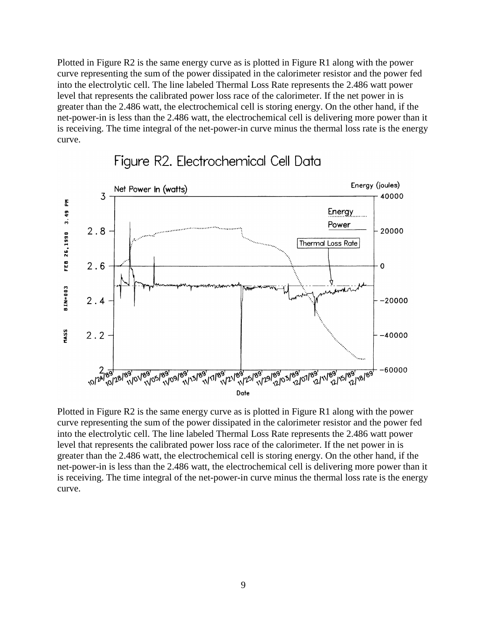Plotted in Figure R2 is the same energy curve as is plotted in Figure R1 along with the power curve representing the sum of the power dissipated in the calorimeter resistor and the power fed into the electrolytic cell. The line labeled Thermal Loss Rate represents the 2.486 watt power level that represents the calibrated power loss race of the calorimeter. If the net power in is greater than the 2.486 watt, the electrochemical cell is storing energy. On the other hand, if the net-power-in is less than the 2.486 watt, the electrochemical cell is delivering more power than it is receiving. The time integral of the net-power-in curve minus the thermal loss rate is the energy curve.



### Figure R2. Electrochemical Cell Data

Plotted in Figure R2 is the same energy curve as is plotted in Figure R1 along with the power curve representing the sum of the power dissipated in the calorimeter resistor and the power fed into the electrolytic cell. The line labeled Thermal Loss Rate represents the 2.486 watt power level that represents the calibrated power loss race of the calorimeter. If the net power in is greater than the 2.486 watt, the electrochemical cell is storing energy. On the other hand, if the net-power-in is less than the 2.486 watt, the electrochemical cell is delivering more power than it is receiving. The time integral of the net-power-in curve minus the thermal loss rate is the energy curve.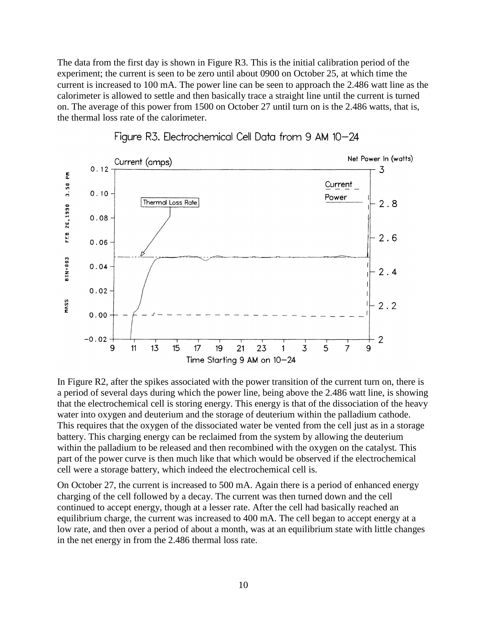The data from the first day is shown in Figure R3. This is the initial calibration period of the experiment; the current is seen to be zero until about 0900 on October 25, at which time the current is increased to 100 mA. The power line can be seen to approach the 2.486 watt line as the calorimeter is allowed to settle and then basically trace a straight line until the current is turned on. The average of this power from 1500 on October 27 until turn on is the 2.486 watts, that is, the thermal loss rate of the calorimeter.





In Figure R2, after the spikes associated with the power transition of the current turn on, there is a period of several days during which the power line, being above the 2.486 watt line, is showing that the electrochemical cell is storing energy. This energy is that of the dissociation of the heavy water into oxygen and deuterium and the storage of deuterium within the palladium cathode. This requires that the oxygen of the dissociated water be vented from the cell just as in a storage battery. This charging energy can be reclaimed from the system by allowing the deuterium within the palladium to be released and then recombined with the oxygen on the catalyst. This part of the power curve is then much like that which would be observed if the electrochemical cell were a storage battery, which indeed the electrochemical cell is.

On October 27, the current is increased to 500 mA. Again there is a period of enhanced energy charging of the cell followed by a decay. The current was then turned down and the cell continued to accept energy, though at a lesser rate. After the cell had basically reached an equilibrium charge, the current was increased to 400 mA. The cell began to accept energy at a low rate, and then over a period of about a month, was at an equilibrium state with little changes in the net energy in from the 2.486 thermal loss rate.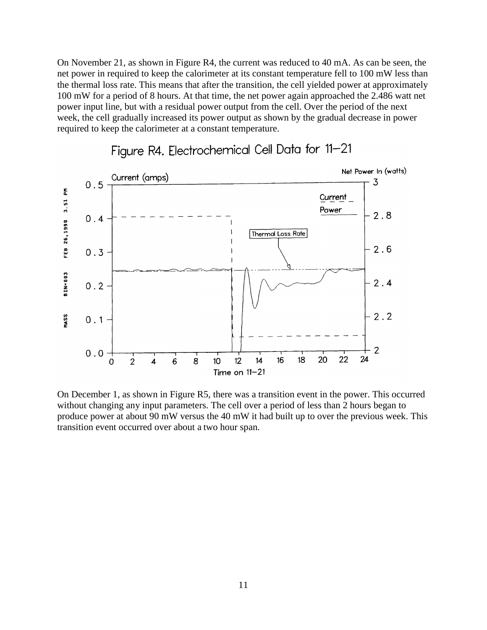On November 21, as shown in Figure R4, the current was reduced to 40 mA. As can be seen, the net power in required to keep the calorimeter at its constant temperature fell to 100 mW less than the thermal loss rate. This means that after the transition, the cell yielded power at approximately 100 mW for a period of 8 hours. At that time, the net power again approached the 2.486 watt net power input line, but with a residual power output from the cell. Over the period of the next week, the cell gradually increased its power output as shown by the gradual decrease in power required to keep the calorimeter at a constant temperature.



# Figure R4. Electrochemical Cell Data for 11-21

On December 1, as shown in Figure R5, there was a transition event in the power. This occurred without changing any input parameters. The cell over a period of less than 2 hours began to produce power at about 90 mW versus the 40 mW it had built up to over the previous week. This transition event occurred over about a two hour span.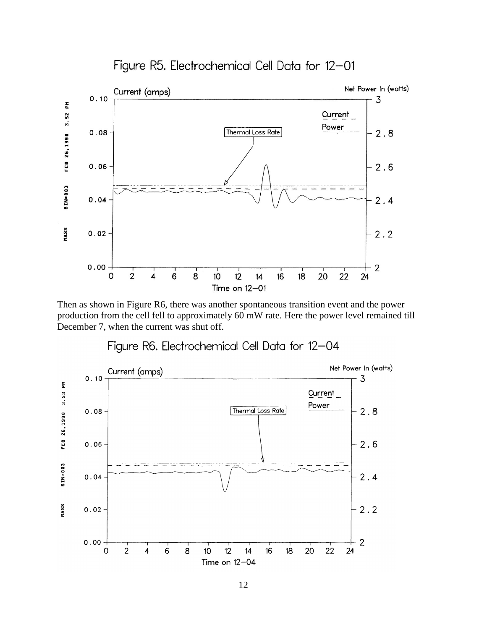

Figure R5. Electrochemical Cell Data for 12-01

Then as shown in Figure R6, there was another spontaneous transition event and the power production from the cell fell to approximately 60 mW rate. Here the power level remained till December 7, when the current was shut off.



Figure R6. Electrochemical Cell Data for 12-04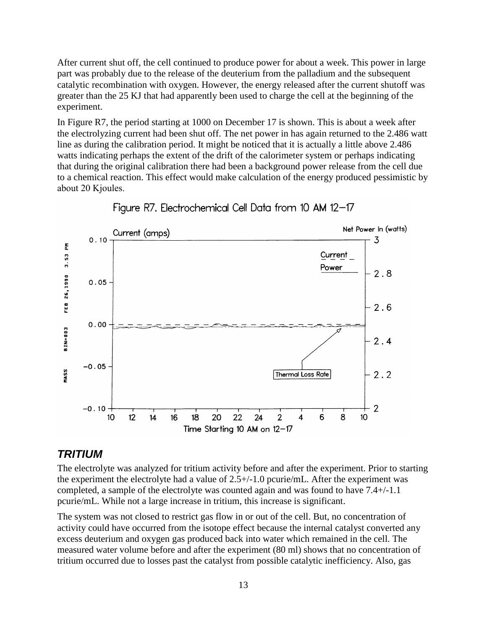After current shut off, the cell continued to produce power for about a week. This power in large part was probably due to the release of the deuterium from the palladium and the subsequent catalytic recombination with oxygen. However, the energy released after the current shutoff was greater than the 25 KJ that had apparently been used to charge the cell at the beginning of the experiment.

In Figure R7, the period starting at 1000 on December 17 is shown. This is about a week after the electrolyzing current had been shut off. The net power in has again returned to the 2.486 watt line as during the calibration period. It might be noticed that it is actually a little above 2.486 watts indicating perhaps the extent of the drift of the calorimeter system or perhaps indicating that during the original calibration there had been a background power release from the cell due to a chemical reaction. This effect would make calculation of the energy produced pessimistic by about 20 Κjoules.



Figure R7. Electrochemical Cell Data from 10 AM 12-17

#### *TRITIUM*

The electrolyte was analyzed for tritium activity before and after the experiment. Prior to starting the experiment the electrolyte had a value of 2.5+/-1.0 pcurie/mL. After the experiment was completed, a sample of the electrolyte was counted again and was found to have 7.4+/-1.1 pcurie/mL. While not a large increase in tritium, this increase is significant.

The system was not closed to restrict gas flow in or out of the cell. But, no concentration of activity could have occurred from the isotope effect because the internal catalyst converted any excess deuterium and oxygen gas produced back into water which remained in the cell. The measured water volume before and after the experiment (80 ml) shows that no concentration of tritium occurred due to losses past the catalyst from possible catalytic inefficiency. Also, gas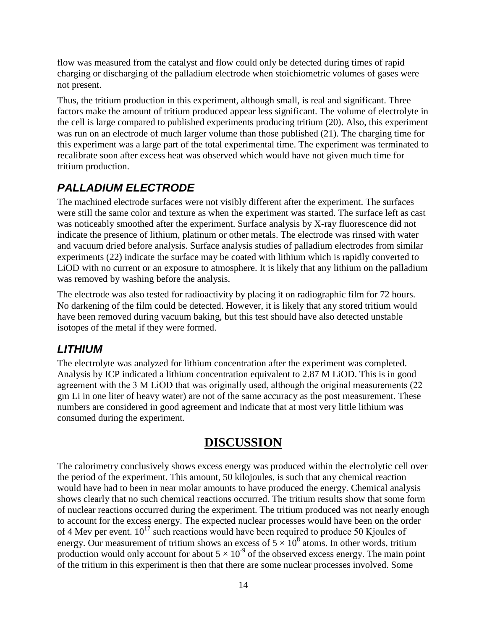flow was measured from the catalyst and flow could only be detected during times of rapid charging or discharging of the palladium electrode when stoichiometric volumes of gases were not present.

Thus, the tritium production in this experiment, although small, is real and significant. Three factors make the amount of tritium produced appear less significant. The volume of electrolyte in the cell is large compared to published experiments producing tritium (20). Also, this experiment was run on an electrode of much larger volume than those published (21). The charging time for this experiment was a large part of the total experimental time. The experiment was terminated to recalibrate soon after excess heat was observed which would have not given much time for tritium production.

## *PALLADIUM ELECTRODE*

The machined electrode surfaces were not visibly different after the experiment. The surfaces were still the same color and texture as when the experiment was started. The surface left as cast was noticeably smoothed after the experiment. Surface analysis by X-ray fluorescence did not indicate the presence of lithium, platinum or other metals. The electrode was rinsed with water and vacuum dried before analysis. Surface analysis studies of palladium electrodes from similar experiments (22) indicate the surface may be coated with lithium which is rapidly converted to LiOD with no current or an exposure to atmosphere. It is likely that any lithium on the palladium was removed by washing before the analysis.

The electrode was also tested for radioactivity by placing it on radiographic film for 72 hours. No darkening of the film could be detected. However, it is likely that any stored tritium would have been removed during vacuum baking, but this test should have also detected unstable isotopes of the metal if they were formed.

## *LITHIUM*

The electrolyte was analyzed for lithium concentration after the experiment was completed. Analysis by ICP indicated a lithium concentration equivalent to 2.87 M LiOD. This is in good agreement with the 3 Μ LiOD that was originally used, although the original measurements (22 gm Li in one liter of heavy water) are not of the same accuracy as the post measurement. These numbers are considered in good agreement and indicate that at most very little lithium was consumed during the experiment.

# **DISCUSSION**

The calorimetry conclusively shows excess energy was produced within the electrolytic cell over the period of the experiment. This amount, 50 kilojoules, is such that any chemical reaction would have had to been in near molar amounts to have produced the energy. Chemical analysis shows clearly that no such chemical reactions occurred. The tritium results show that some form of nuclear reactions occurred during the experiment. The tritium produced was not nearly enough to account for the excess energy. The expected nuclear processes would have been on the order of 4 Mev per event.  $10^{17}$  such reactions would have been required to produce 50 Kjoules of energy. Our measurement of tritium shows an excess of  $5 \times 10^8$  atoms. In other words, tritium production would only account for about  $5 \times 10^{-9}$  of the observed excess energy. The main point of the tritium in this experiment is then that there are some nuclear processes involved. Some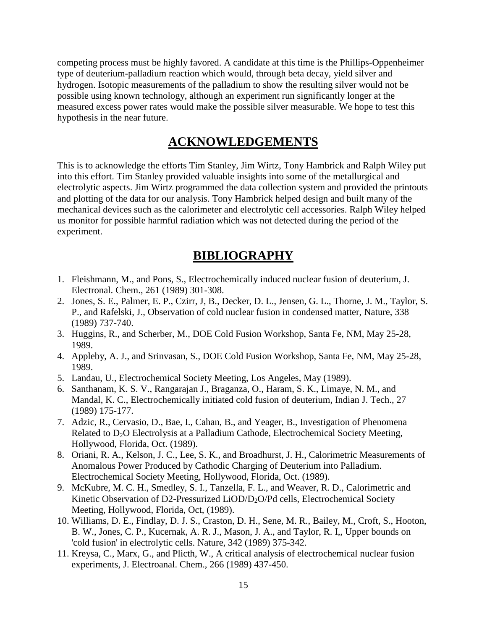competing process must be highly favored. A candidate at this time is the Phillips-Oppenheimer type of deuterium-palladium reaction which would, through beta decay, yield silver and hydrogen. Isotopic measurements of the palladium to show the resulting silver would not be possible using known technology, although an experiment run significantly longer at the measured excess power rates would make the possible silver measurable. We hope to test this hypothesis in the near future.

#### **ACKNOWLEDGEMENTS**

This is to acknowledge the efforts Tim Stanley, Jim Wirtz, Tony Hambrick and Ralph Wiley put into this effort. Tim Stanley provided valuable insights into some of the metallurgical and electrolytic aspects. Jim Wirtz programmed the data collection system and provided the printouts and plotting of the data for our analysis. Tony Hambrick helped design and built many of the mechanical devices such as the calorimeter and electrolytic cell accessories. Ralph Wiley helped us monitor for possible harmful radiation which was not detected during the period of the experiment.

#### **BIBLIOGRAPHY**

- 1. Fleishmann, M., and Pons, S., Electrochemically induced nuclear fusion of deuterium, J. Electronal. Chem., 261 (1989) 301-308.
- 2. Jones, S. E., Palmer, E. P., Czirr, J, B., Decker, D. L., Jensen, G. L., Thorne, J. M., Taylor, S. P., and Rafelski, J., Observation of cold nuclear fusion in condensed matter, Nature, 338 (1989) 737-740.
- 3. Huggins, R., and Scherber, M., DOE Cold Fusion Workshop, Santa Fe, NM, May 25-28, 1989.
- 4. Appleby, A. J., and Srinvasan, S., DOE Cold Fusion Workshop, Santa Fe, NM, May 25-28, 1989.
- 5. Landau, U., Electrochemical Society Meeting, Los Angeles, May (1989).
- 6. Santhanam, K. S. V., Rangarajan J., Braganza, O., Haram, S. K., Limaye, N. M., and Mandal, K. C., Electrochemically initiated cold fusion of deuterium, Indian J. Tech., 27 (1989) 175-177.
- 7. Adzic, R., Cervasio, D., Bae, I., Cahan, B., and Yeager, B., Investigation of Phenomena Related to D<sub>2</sub>O Electrolysis at a Palladium Cathode, Electrochemical Society Meeting, Hollywood, Florida, Oct. (1989).
- 8. Oriani, R. A., Kelson, J. C., Lee, S. K., and Broadhurst, J. H., Calorimetric Measurements of Anomalous Power Produced by Cathodic Charging of Deuterium into Palladium. Electrochemical Society Meeting, Hollywood, Florida, Oct. (1989).
- 9. McKubre, M. C. H., Smedley, S. I., Tanzella, F. L., and Weaver, R. D., Calorimetric and Kinetic Observation of D2-Pressurized LiOD/D<sub>2</sub>O/Pd cells, Electrochemical Society Meeting, Hollywood, Florida, Oct, (1989).
- 10. Williams, D. E., Findlay, D. J. S., Craston, D. H., Sene, M. R., Bailey, M., Croft, S., Hooton, B. W., Jones, C. P., Kucernak, A. R. J., Mason, J. A., and Taylor, R. I,, Upper bounds on 'cold fusion' in electrolytic cells. Nature, 342 (1989) 375-342.
- 11. Kreysa, C., Marx, G., and Plicth, W., A critical analysis of electrochemical nuclear fusion experiments, J. Electroanal. Chem., 266 (1989) 437-450.